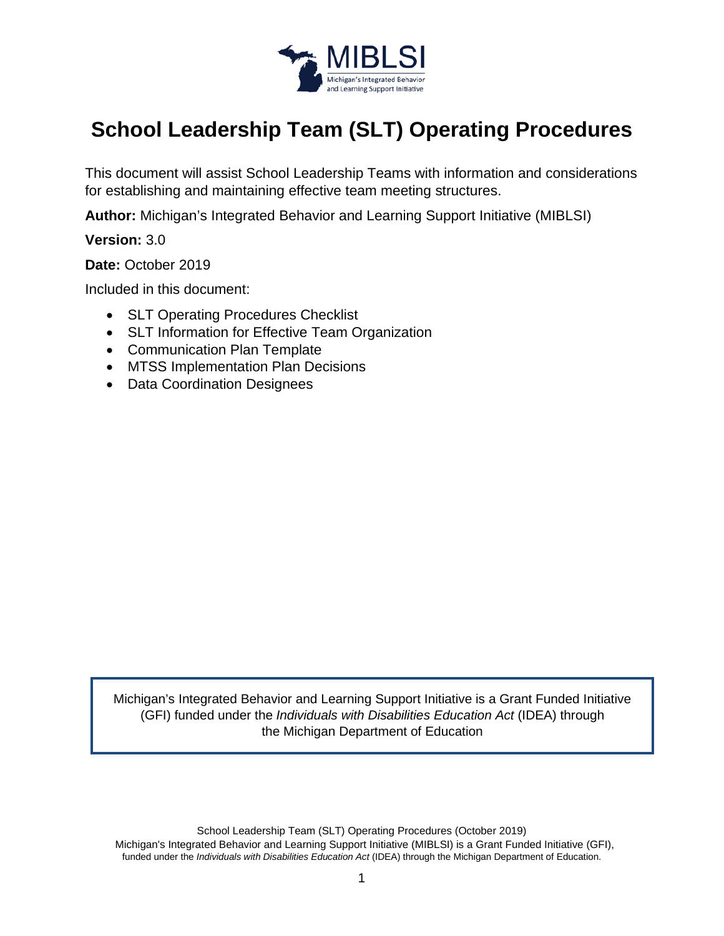

# **School Leadership Team (SLT) Operating Procedures**

This document will assist School Leadership Teams with information and considerations for establishing and maintaining effective team meeting structures.

**Author:** Michigan's Integrated Behavior and Learning Support Initiative (MIBLSI)

**Version:** 3.0

**Date:** October 2019

Included in this document:

- SLT Operating Procedures Checklist
- SLT Information for Effective Team Organization
- Communication Plan Template
- MTSS Implementation Plan Decisions
- Data Coordination Designees

Michigan's Integrated Behavior and Learning Support Initiative is a Grant Funded Initiative (GFI) funded under the *Individuals with Disabilities Education Act* (IDEA) through the Michigan Department of Education

School Leadership Team (SLT) Operating Procedures (October 2019) Michigan's Integrated Behavior and Learning Support Initiative (MIBLSI) is a Grant Funded Initiative (GFI), funded under the *Individuals with Disabilities Education Act* (IDEA) through the Michigan Department of Education.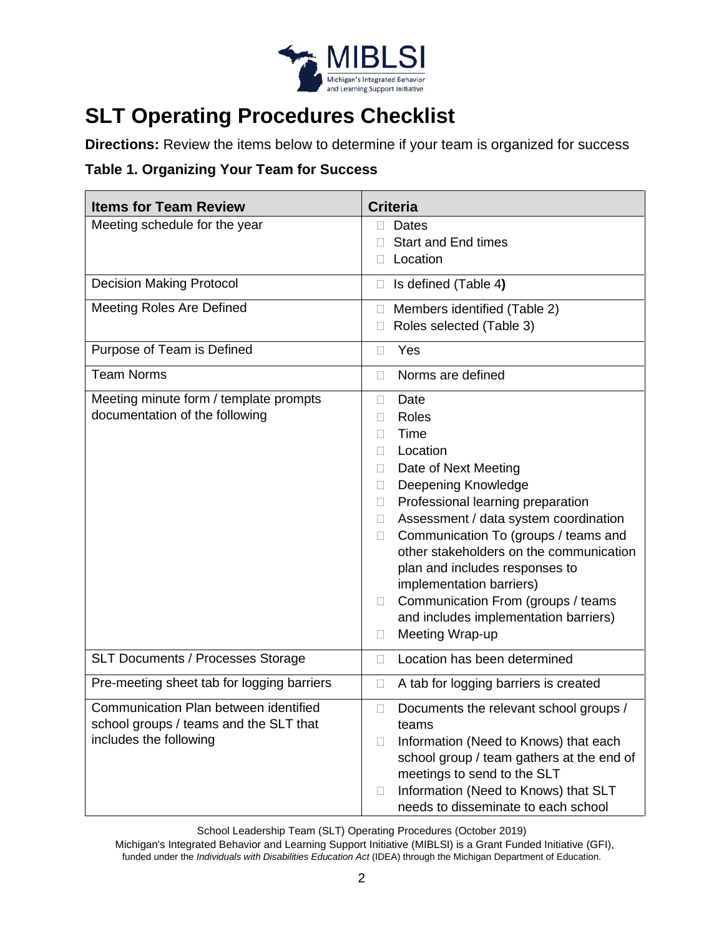

## **SLT Operating Procedures Checklist**

**Directions:** Review the items below to determine if your team is organized for success

#### **Table 1. Organizing Your Team for Success**

| <b>Items for Team Review</b>                                                                              | <b>Criteria</b>                                                                                                                                                                                                                                                                                                                                                                                                                                                                                        |
|-----------------------------------------------------------------------------------------------------------|--------------------------------------------------------------------------------------------------------------------------------------------------------------------------------------------------------------------------------------------------------------------------------------------------------------------------------------------------------------------------------------------------------------------------------------------------------------------------------------------------------|
| Meeting schedule for the year                                                                             | <b>Dates</b><br>П<br><b>Start and End times</b><br>Location<br>$\Box$                                                                                                                                                                                                                                                                                                                                                                                                                                  |
| <b>Decision Making Protocol</b>                                                                           | Is defined (Table 4)<br>$\Box$                                                                                                                                                                                                                                                                                                                                                                                                                                                                         |
| <b>Meeting Roles Are Defined</b>                                                                          | Members identified (Table 2)<br>$\Box$<br>Roles selected (Table 3)                                                                                                                                                                                                                                                                                                                                                                                                                                     |
| Purpose of Team is Defined                                                                                | Yes<br>П                                                                                                                                                                                                                                                                                                                                                                                                                                                                                               |
| <b>Team Norms</b>                                                                                         | Norms are defined<br>П                                                                                                                                                                                                                                                                                                                                                                                                                                                                                 |
| Meeting minute form / template prompts<br>documentation of the following                                  | Date<br>П<br>Roles<br>П<br>Time<br>п<br>Location<br>Ш<br>Date of Next Meeting<br>Ш<br>Deepening Knowledge<br>$\Box$<br>Professional learning preparation<br>$\Box$<br>Assessment / data system coordination<br>$\Box$<br>Communication To (groups / teams and<br>$\Box$<br>other stakeholders on the communication<br>plan and includes responses to<br>implementation barriers)<br>Communication From (groups / teams<br>$\Box$<br>and includes implementation barriers)<br>Meeting Wrap-up<br>$\Box$ |
| <b>SLT Documents / Processes Storage</b>                                                                  | Location has been determined<br>П                                                                                                                                                                                                                                                                                                                                                                                                                                                                      |
| Pre-meeting sheet tab for logging barriers                                                                | A tab for logging barriers is created<br>$\Box$                                                                                                                                                                                                                                                                                                                                                                                                                                                        |
| Communication Plan between identified<br>school groups / teams and the SLT that<br>includes the following | Documents the relevant school groups /<br>$\Box$<br>teams<br>Information (Need to Knows) that each<br>$\Box$<br>school group / team gathers at the end of<br>meetings to send to the SLT<br>Information (Need to Knows) that SLT<br>$\Box$<br>needs to disseminate to each school                                                                                                                                                                                                                      |

School Leadership Team (SLT) Operating Procedures (October 2019)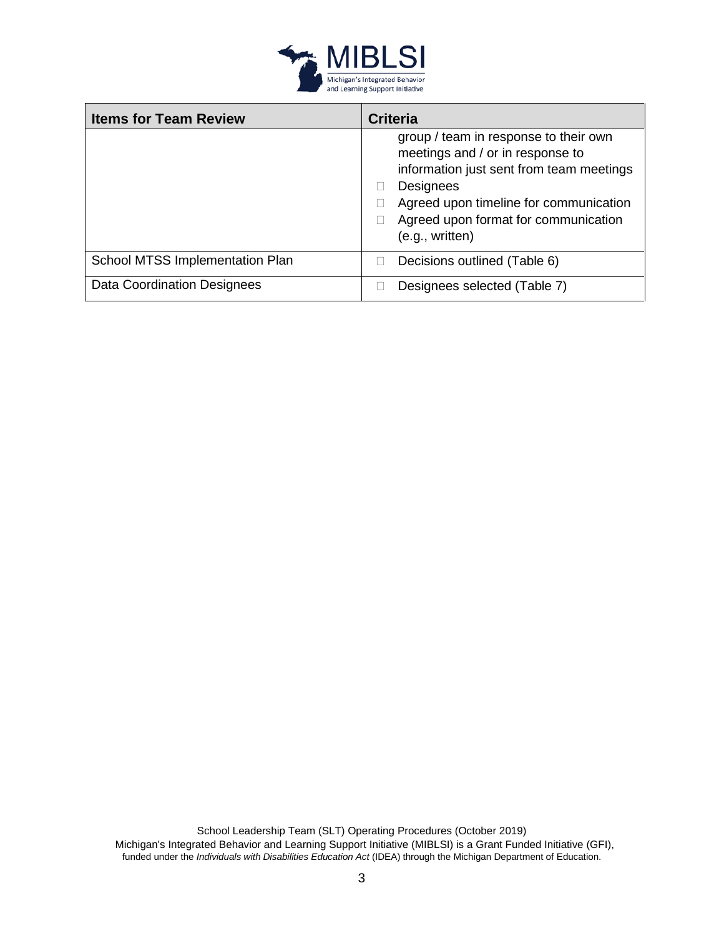

| <b>Items for Team Review</b>    | <b>Criteria</b>                                                                                                                                                                                                                         |
|---------------------------------|-----------------------------------------------------------------------------------------------------------------------------------------------------------------------------------------------------------------------------------------|
|                                 | group / team in response to their own<br>meetings and / or in response to<br>information just sent from team meetings<br>Designees<br>Agreed upon timeline for communication<br>Agreed upon format for communication<br>(e.g., written) |
| School MTSS Implementation Plan | Decisions outlined (Table 6)                                                                                                                                                                                                            |
| Data Coordination Designees     | Designees selected (Table 7)                                                                                                                                                                                                            |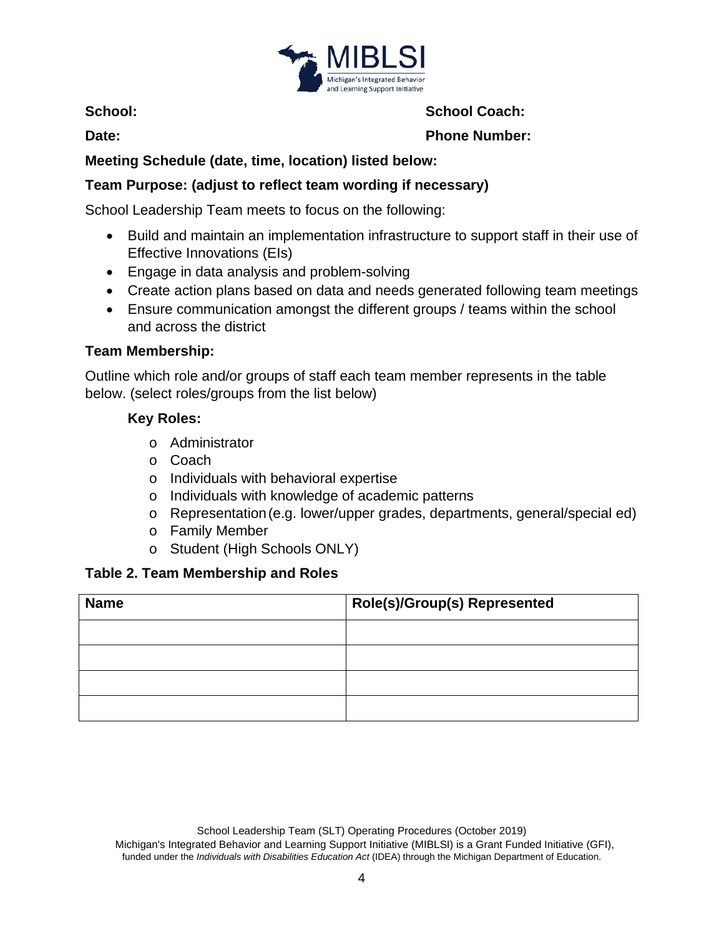

**School:**

**Date:**

**School Coach:**

**Phone Number:**

## **Meeting Schedule (date, time, location) listed below:**

## **Team Purpose: (adjust to reflect team wording if necessary)**

School Leadership Team meets to focus on the following:

- Build and maintain an implementation infrastructure to support staff in their use of Effective Innovations (EIs)
- Engage in data analysis and problem-solving
- Create action plans based on data and needs generated following team meetings
- Ensure communication amongst the different groups / teams within the school and across the district

#### **Team Membership:**

Outline which role and/or groups of staff each team member represents in the table below. (select roles/groups from the list below)

#### **Key Roles:**

- o Administrator
- o Coach
- o Individuals with behavioral expertise
- o Individuals with knowledge of academic patterns
- o Representation(e.g. lower/upper grades, departments, general/special ed)
- o Family Member
- o Student (High Schools ONLY)

## **Table 2. Team Membership and Roles**

| <b>Name</b> | <b>Role(s)/Group(s) Represented</b> |
|-------------|-------------------------------------|
|             |                                     |
|             |                                     |
|             |                                     |
|             |                                     |

School Leadership Team (SLT) Operating Procedures (October 2019)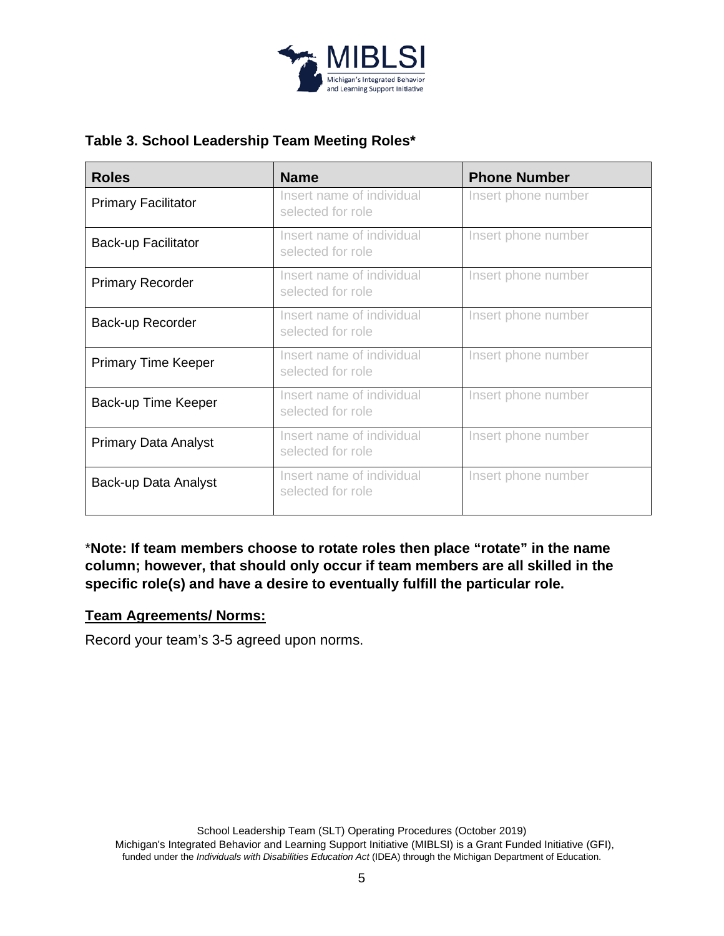

### **Table 3. School Leadership Team Meeting Roles\***

| <b>Roles</b>                | <b>Name</b>                                    | <b>Phone Number</b> |
|-----------------------------|------------------------------------------------|---------------------|
| <b>Primary Facilitator</b>  | Insert name of individual<br>selected for role | Insert phone number |
| <b>Back-up Facilitator</b>  | Insert name of individual<br>selected for role | Insert phone number |
| <b>Primary Recorder</b>     | Insert name of individual<br>selected for role | Insert phone number |
| Back-up Recorder            | Insert name of individual<br>selected for role | Insert phone number |
| <b>Primary Time Keeper</b>  | Insert name of individual<br>selected for role | Insert phone number |
| Back-up Time Keeper         | Insert name of individual<br>selected for role | Insert phone number |
| <b>Primary Data Analyst</b> | Insert name of individual<br>selected for role | Insert phone number |
| Back-up Data Analyst        | Insert name of individual<br>selected for role | Insert phone number |

\***Note: If team members choose to rotate roles then place "rotate" in the name column; however, that should only occur if team members are all skilled in the specific role(s) and have a desire to eventually fulfill the particular role.**

#### **Team Agreements/ Norms:**

Record your team's 3-5 agreed upon norms.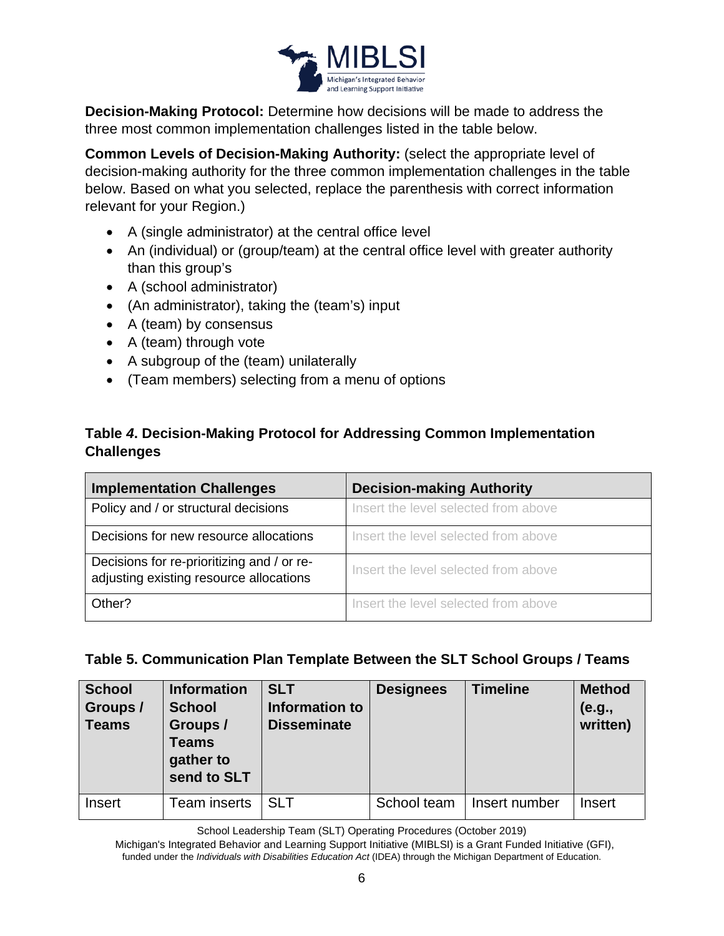

**Decision-Making Protocol:** Determine how decisions will be made to address the three most common implementation challenges listed in the table below.

**Common Levels of Decision-Making Authority:** (select the appropriate level of decision-making authority for the three common implementation challenges in the table below. Based on what you selected, replace the parenthesis with correct information relevant for your Region.)

- A (single administrator) at the central office level
- An (individual) or (group/team) at the central office level with greater authority than this group's
- A (school administrator)
- (An administrator), taking the (team's) input
- A (team) by consensus
- A (team) through vote
- A subgroup of the (team) unilaterally
- (Team members) selecting from a menu of options

#### **Table** *4***. Decision-Making Protocol for Addressing Common Implementation Challenges**

| <b>Implementation Challenges</b>                                                      | <b>Decision-making Authority</b>     |
|---------------------------------------------------------------------------------------|--------------------------------------|
| Policy and / or structural decisions                                                  | Insert the level selected from above |
| Decisions for new resource allocations                                                | Insert the level selected from above |
| Decisions for re-prioritizing and / or re-<br>adjusting existing resource allocations | Insert the level selected from above |
| Other?                                                                                | Insert the level selected from above |

#### **Table 5. Communication Plan Template Between the SLT School Groups / Teams**

| <b>School</b><br>Groups /<br><b>Teams</b> | <b>Information</b><br><b>School</b><br>Groups /<br><b>Teams</b><br>gather to<br>send to SLT | <b>SLT</b><br>Information to<br><b>Disseminate</b> | <b>Designees</b> | <b>Timeline</b> | <b>Method</b><br>(e.g.,<br>written) |
|-------------------------------------------|---------------------------------------------------------------------------------------------|----------------------------------------------------|------------------|-----------------|-------------------------------------|
| Insert                                    | <b>Team inserts</b>                                                                         | <b>SLT</b>                                         | School team      | Insert number   | Insert                              |

School Leadership Team (SLT) Operating Procedures (October 2019)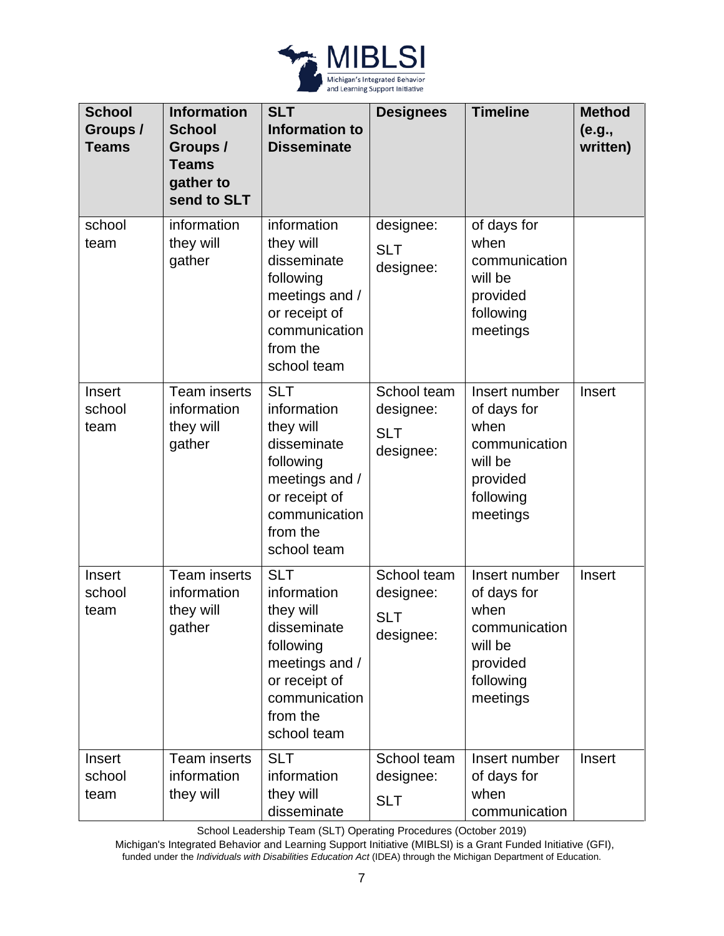

| <b>School</b><br>Groups /<br><b>Teams</b> | <b>Information</b><br><b>School</b><br>Groups /<br><b>Teams</b><br>gather to<br>send to SLT | <b>SLT</b><br><b>Information to</b><br><b>Disseminate</b>                                                                                         | <b>Designees</b>                                    | <b>Timeline</b>                                                                                       | <b>Method</b><br>(e.g.,<br>written) |
|-------------------------------------------|---------------------------------------------------------------------------------------------|---------------------------------------------------------------------------------------------------------------------------------------------------|-----------------------------------------------------|-------------------------------------------------------------------------------------------------------|-------------------------------------|
| school<br>team                            | information<br>they will<br>gather                                                          | information<br>they will<br>disseminate<br>following<br>meetings and /<br>or receipt of<br>communication<br>from the<br>school team               | designee:<br><b>SLT</b><br>designee:                | of days for<br>when<br>communication<br>will be<br>provided<br>following<br>meetings                  |                                     |
| Insert<br>school<br>team                  | <b>Team inserts</b><br>information<br>they will<br>gather                                   | <b>SLT</b><br>information<br>they will<br>disseminate<br>following<br>meetings and /<br>or receipt of<br>communication<br>from the<br>school team | School team<br>designee:<br><b>SLT</b><br>designee: | Insert number<br>of days for<br>when<br>communication<br>will be<br>provided<br>following<br>meetings | Insert                              |
| Insert<br>school<br>team                  | <b>Team</b> inserts<br>information<br>they will<br>gather                                   | <b>SLT</b><br>information<br>they will<br>disseminate<br>following<br>meetings and /<br>or receipt of<br>communication<br>from the<br>school team | School team<br>designee:<br><b>SLT</b><br>designee: | Insert number<br>of days for<br>when<br>communication<br>will be<br>provided<br>following<br>meetings | Insert                              |
| Insert<br>school<br>team                  | <b>Team</b> inserts<br>information<br>they will                                             | <b>SLT</b><br>information<br>they will<br>disseminate                                                                                             | School team<br>designee:<br><b>SLT</b>              | Insert number<br>of days for<br>when<br>communication                                                 | Insert                              |

School Leadership Team (SLT) Operating Procedures (October 2019)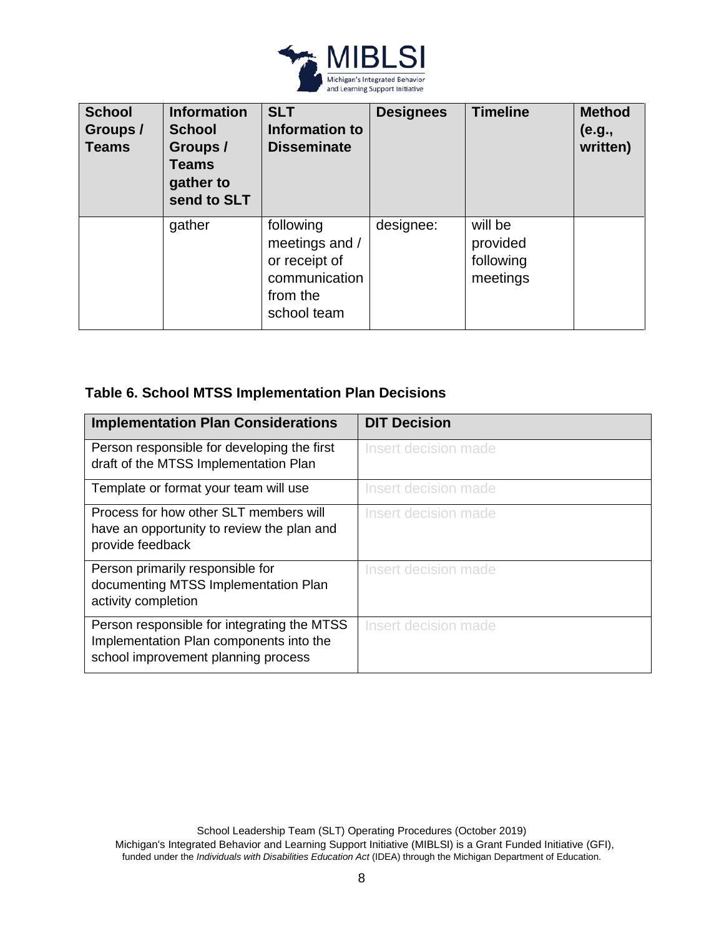

| <b>School</b><br>Groups /<br><b>Teams</b> | <b>Information</b><br><b>School</b><br>Groups /<br>Teams<br>gather to<br>send to SLT | <b>SLT</b><br>Information to<br><b>Disseminate</b>                                       | <b>Designees</b> | <b>Timeline</b>                              | <b>Method</b><br>(e.g.,<br>written) |
|-------------------------------------------|--------------------------------------------------------------------------------------|------------------------------------------------------------------------------------------|------------------|----------------------------------------------|-------------------------------------|
|                                           | gather                                                                               | following<br>meetings and /<br>or receipt of<br>communication<br>from the<br>school team | designee:        | will be<br>provided<br>following<br>meetings |                                     |

## **Table 6. School MTSS Implementation Plan Decisions**

| <b>Implementation Plan Considerations</b>                                                                                     | <b>DIT Decision</b>  |
|-------------------------------------------------------------------------------------------------------------------------------|----------------------|
| Person responsible for developing the first<br>draft of the MTSS Implementation Plan                                          | Insert decision made |
| Template or format your team will use                                                                                         | Insert decision made |
| Process for how other SLT members will<br>have an opportunity to review the plan and<br>provide feedback                      | Insert decision made |
| Person primarily responsible for<br>documenting MTSS Implementation Plan<br>activity completion                               | Insert decision made |
| Person responsible for integrating the MTSS<br>Implementation Plan components into the<br>school improvement planning process | Insert decision made |